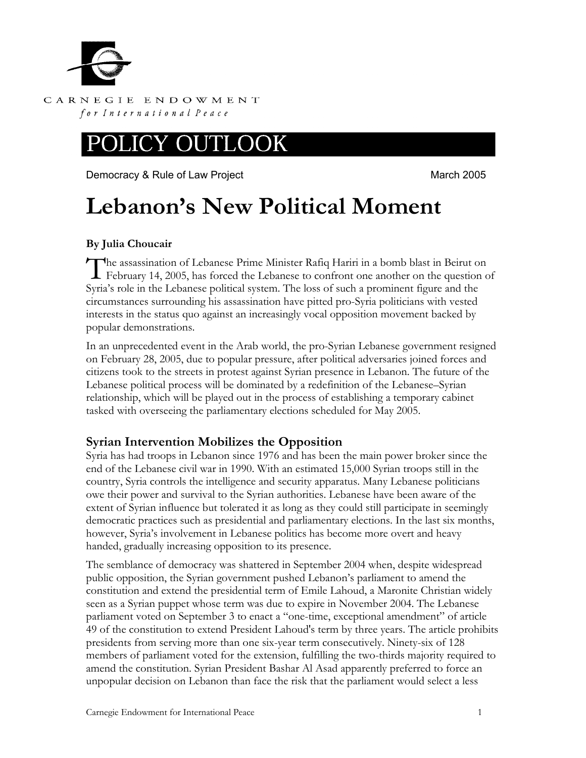

CARNEGIE ENDOWMENT for International Peace

## OOK

Democracy & Rule of Law Project **March 2005** March 2005

# **Lebanon's New Political Moment**

### **By Julia Choucair**

The assassination of Lebanese Prime Minister Rafiq Hariri in a bomb blast in Beirut on<br>February 14, 2005, has forced the Lebanese to confront one another on the question or February 14, 2005, has forced the Lebanese to confront one another on the question of Syria's role in the Lebanese political system. The loss of such a prominent figure and the circumstances surrounding his assassination have pitted pro-Syria politicians with vested interests in the status quo against an increasingly vocal opposition movement backed by popular demonstrations.

In an unprecedented event in the Arab world, the pro-Syrian Lebanese government resigned on February 28, 2005, due to popular pressure, after political adversaries joined forces and citizens took to the streets in protest against Syrian presence in Lebanon. The future of the Lebanese political process will be dominated by a redefinition of the Lebanese–Syrian relationship, which will be played out in the process of establishing a temporary cabinet tasked with overseeing the parliamentary elections scheduled for May 2005.

## **Syrian Intervention Mobilizes the Opposition**

Syria has had troops in Lebanon since 1976 and has been the main power broker since the end of the Lebanese civil war in 1990. With an estimated 15,000 Syrian troops still in the country, Syria controls the intelligence and security apparatus. Many Lebanese politicians owe their power and survival to the Syrian authorities. Lebanese have been aware of the extent of Syrian influence but tolerated it as long as they could still participate in seemingly democratic practices such as presidential and parliamentary elections. In the last six months, however, Syria's involvement in Lebanese politics has become more overt and heavy handed, gradually increasing opposition to its presence.

The semblance of democracy was shattered in September 2004 when, despite widespread public opposition, the Syrian government pushed Lebanon's parliament to amend the constitution and extend the presidential term of Emile Lahoud, a Maronite Christian widely seen as a Syrian puppet whose term was due to expire in November 2004. The Lebanese parliament voted on September 3 to enact a "one-time, exceptional amendment" of article 49 of the constitution to extend President Lahoud's term by three years. The article prohibits presidents from serving more than one six-year term consecutively. Ninety-six of 128 members of parliament voted for the extension, fulfilling the two-thirds majority required to amend the constitution. Syrian President Bashar Al Asad apparently preferred to force an unpopular decision on Lebanon than face the risk that the parliament would select a less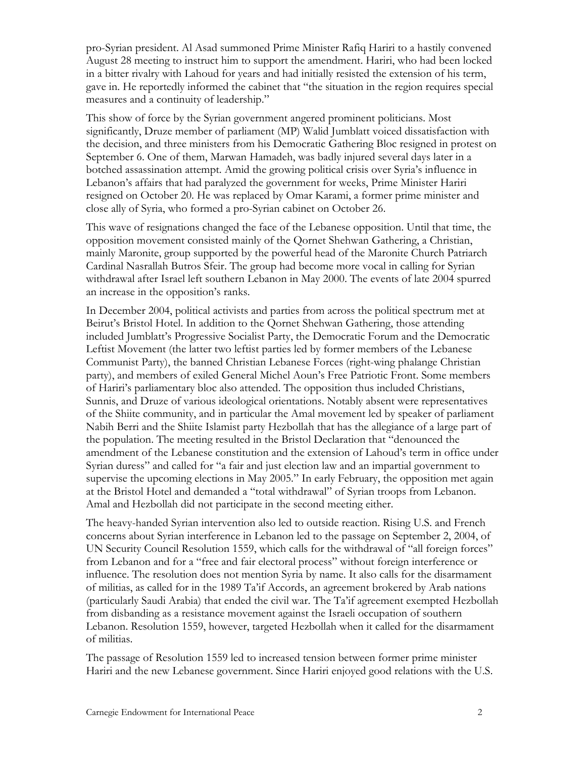pro-Syrian president. Al Asad summoned Prime Minister Rafiq Hariri to a hastily convened August 28 meeting to instruct him to support the amendment. Hariri, who had been locked in a bitter rivalry with Lahoud for years and had initially resisted the extension of his term, gave in. He reportedly informed the cabinet that "the situation in the region requires special measures and a continuity of leadership."

This show of force by the Syrian government angered prominent politicians. Most significantly, Druze member of parliament (MP) Walid Jumblatt voiced dissatisfaction with the decision, and three ministers from his Democratic Gathering Bloc resigned in protest on September 6. One of them, Marwan Hamadeh, was badly injured several days later in a botched assassination attempt. Amid the growing political crisis over Syria's influence in Lebanon's affairs that had paralyzed the government for weeks, Prime Minister Hariri resigned on October 20. He was replaced by Omar Karami, a former prime minister and close ally of Syria, who formed a pro-Syrian cabinet on October 26.

This wave of resignations changed the face of the Lebanese opposition. Until that time, the opposition movement consisted mainly of the Qornet Shehwan Gathering, a Christian, mainly Maronite, group supported by the powerful head of the Maronite Church Patriarch Cardinal Nasrallah Butros Sfeir. The group had become more vocal in calling for Syrian withdrawal after Israel left southern Lebanon in May 2000. The events of late 2004 spurred an increase in the opposition's ranks.

In December 2004, political activists and parties from across the political spectrum met at Beirut's Bristol Hotel. In addition to the Qornet Shehwan Gathering, those attending included Jumblatt's Progressive Socialist Party, the Democratic Forum and the Democratic Leftist Movement (the latter two leftist parties led by former members of the Lebanese Communist Party), the banned Christian Lebanese Forces (right-wing phalange Christian party), and members of exiled General Michel Aoun's Free Patriotic Front. Some members of Hariri's parliamentary bloc also attended. The opposition thus included Christians, Sunnis, and Druze of various ideological orientations. Notably absent were representatives of the Shiite community, and in particular the Amal movement led by speaker of parliament Nabih Berri and the Shiite Islamist party Hezbollah that has the allegiance of a large part of the population. The meeting resulted in the Bristol Declaration that "denounced the amendment of the Lebanese constitution and the extension of Lahoud's term in office under Syrian duress" and called for "a fair and just election law and an impartial government to supervise the upcoming elections in May 2005." In early February, the opposition met again at the Bristol Hotel and demanded a "total withdrawal" of Syrian troops from Lebanon. Amal and Hezbollah did not participate in the second meeting either.

The heavy-handed Syrian intervention also led to outside reaction. Rising U.S. and French concerns about Syrian interference in Lebanon led to the passage on September 2, 2004, of UN Security Council Resolution 1559, which calls for the withdrawal of "all foreign forces" from Lebanon and for a "free and fair electoral process" without foreign interference or influence. The resolution does not mention Syria by name. It also calls for the disarmament of militias, as called for in the 1989 Ta'if Accords, an agreement brokered by Arab nations (particularly Saudi Arabia) that ended the civil war. The Ta'if agreement exempted Hezbollah from disbanding as a resistance movement against the Israeli occupation of southern Lebanon. Resolution 1559, however, targeted Hezbollah when it called for the disarmament of militias.

The passage of Resolution 1559 led to increased tension between former prime minister Hariri and the new Lebanese government. Since Hariri enjoyed good relations with the U.S.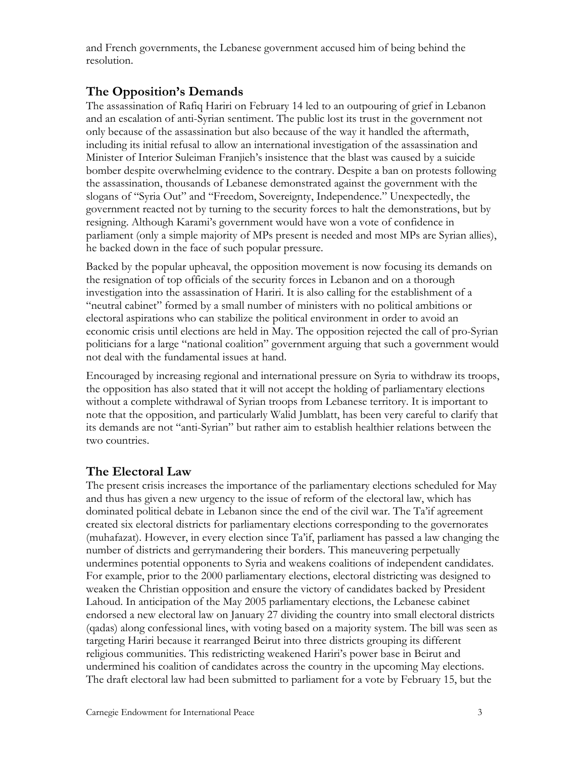and French governments, the Lebanese government accused him of being behind the resolution.

## **The Opposition's Demands**

The assassination of Rafiq Hariri on February 14 led to an outpouring of grief in Lebanon and an escalation of anti-Syrian sentiment. The public lost its trust in the government not only because of the assassination but also because of the way it handled the aftermath, including its initial refusal to allow an international investigation of the assassination and Minister of Interior Suleiman Franjieh's insistence that the blast was caused by a suicide bomber despite overwhelming evidence to the contrary. Despite a ban on protests following the assassination, thousands of Lebanese demonstrated against the government with the slogans of "Syria Out" and "Freedom, Sovereignty, Independence." Unexpectedly, the government reacted not by turning to the security forces to halt the demonstrations, but by resigning. Although Karami's government would have won a vote of confidence in parliament (only a simple majority of MPs present is needed and most MPs are Syrian allies), he backed down in the face of such popular pressure.

Backed by the popular upheaval, the opposition movement is now focusing its demands on the resignation of top officials of the security forces in Lebanon and on a thorough investigation into the assassination of Hariri. It is also calling for the establishment of a "neutral cabinet" formed by a small number of ministers with no political ambitions or electoral aspirations who can stabilize the political environment in order to avoid an economic crisis until elections are held in May. The opposition rejected the call of pro-Syrian politicians for a large "national coalition" government arguing that such a government would not deal with the fundamental issues at hand.

Encouraged by increasing regional and international pressure on Syria to withdraw its troops, the opposition has also stated that it will not accept the holding of parliamentary elections without a complete withdrawal of Syrian troops from Lebanese territory. It is important to note that the opposition, and particularly Walid Jumblatt, has been very careful to clarify that its demands are not "anti-Syrian" but rather aim to establish healthier relations between the two countries.

### **The Electoral Law**

The present crisis increases the importance of the parliamentary elections scheduled for May and thus has given a new urgency to the issue of reform of the electoral law, which has dominated political debate in Lebanon since the end of the civil war. The Ta'if agreement created six electoral districts for parliamentary elections corresponding to the governorates (muhafazat). However, in every election since Ta'if, parliament has passed a law changing the number of districts and gerrymandering their borders. This maneuvering perpetually undermines potential opponents to Syria and weakens coalitions of independent candidates. For example, prior to the 2000 parliamentary elections, electoral districting was designed to weaken the Christian opposition and ensure the victory of candidates backed by President Lahoud. In anticipation of the May 2005 parliamentary elections, the Lebanese cabinet endorsed a new electoral law on January 27 dividing the country into small electoral districts (qadas) along confessional lines, with voting based on a majority system. The bill was seen as targeting Hariri because it rearranged Beirut into three districts grouping its different religious communities. This redistricting weakened Hariri's power base in Beirut and undermined his coalition of candidates across the country in the upcoming May elections. The draft electoral law had been submitted to parliament for a vote by February 15, but the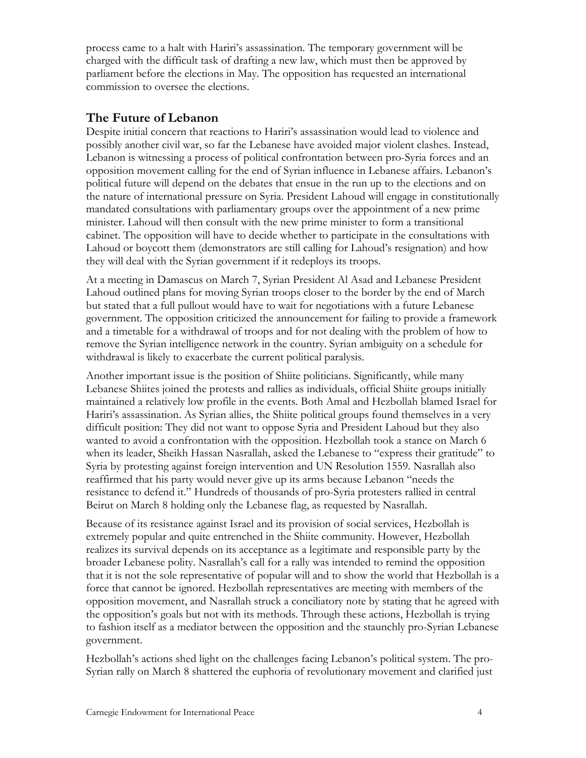process came to a halt with Hariri's assassination. The temporary government will be charged with the difficult task of drafting a new law, which must then be approved by parliament before the elections in May. The opposition has requested an international commission to oversee the elections.

#### **The Future of Lebanon**

Despite initial concern that reactions to Hariri's assassination would lead to violence and possibly another civil war, so far the Lebanese have avoided major violent clashes. Instead, Lebanon is witnessing a process of political confrontation between pro-Syria forces and an opposition movement calling for the end of Syrian influence in Lebanese affairs. Lebanon's political future will depend on the debates that ensue in the run up to the elections and on the nature of international pressure on Syria. President Lahoud will engage in constitutionally mandated consultations with parliamentary groups over the appointment of a new prime minister. Lahoud will then consult with the new prime minister to form a transitional cabinet. The opposition will have to decide whether to participate in the consultations with Lahoud or boycott them (demonstrators are still calling for Lahoud's resignation) and how they will deal with the Syrian government if it redeploys its troops.

At a meeting in Damascus on March 7, Syrian President Al Asad and Lebanese President Lahoud outlined plans for moving Syrian troops closer to the border by the end of March but stated that a full pullout would have to wait for negotiations with a future Lebanese government. The opposition criticized the announcement for failing to provide a framework and a timetable for a withdrawal of troops and for not dealing with the problem of how to remove the Syrian intelligence network in the country. Syrian ambiguity on a schedule for withdrawal is likely to exacerbate the current political paralysis.

Another important issue is the position of Shiite politicians. Significantly, while many Lebanese Shiites joined the protests and rallies as individuals, official Shiite groups initially maintained a relatively low profile in the events. Both Amal and Hezbollah blamed Israel for Hariri's assassination. As Syrian allies, the Shiite political groups found themselves in a very difficult position: They did not want to oppose Syria and President Lahoud but they also wanted to avoid a confrontation with the opposition. Hezbollah took a stance on March 6 when its leader, Sheikh Hassan Nasrallah, asked the Lebanese to "express their gratitude" to Syria by protesting against foreign intervention and UN Resolution 1559. Nasrallah also reaffirmed that his party would never give up its arms because Lebanon "needs the resistance to defend it." Hundreds of thousands of pro-Syria protesters rallied in central Beirut on March 8 holding only the Lebanese flag, as requested by Nasrallah.

Because of its resistance against Israel and its provision of social services, Hezbollah is extremely popular and quite entrenched in the Shiite community. However, Hezbollah realizes its survival depends on its acceptance as a legitimate and responsible party by the broader Lebanese polity. Nasrallah's call for a rally was intended to remind the opposition that it is not the sole representative of popular will and to show the world that Hezbollah is a force that cannot be ignored. Hezbollah representatives are meeting with members of the opposition movement, and Nasrallah struck a conciliatory note by stating that he agreed with the opposition's goals but not with its methods. Through these actions, Hezbollah is trying to fashion itself as a mediator between the opposition and the staunchly pro-Syrian Lebanese government.

Hezbollah's actions shed light on the challenges facing Lebanon's political system. The pro-Syrian rally on March 8 shattered the euphoria of revolutionary movement and clarified just